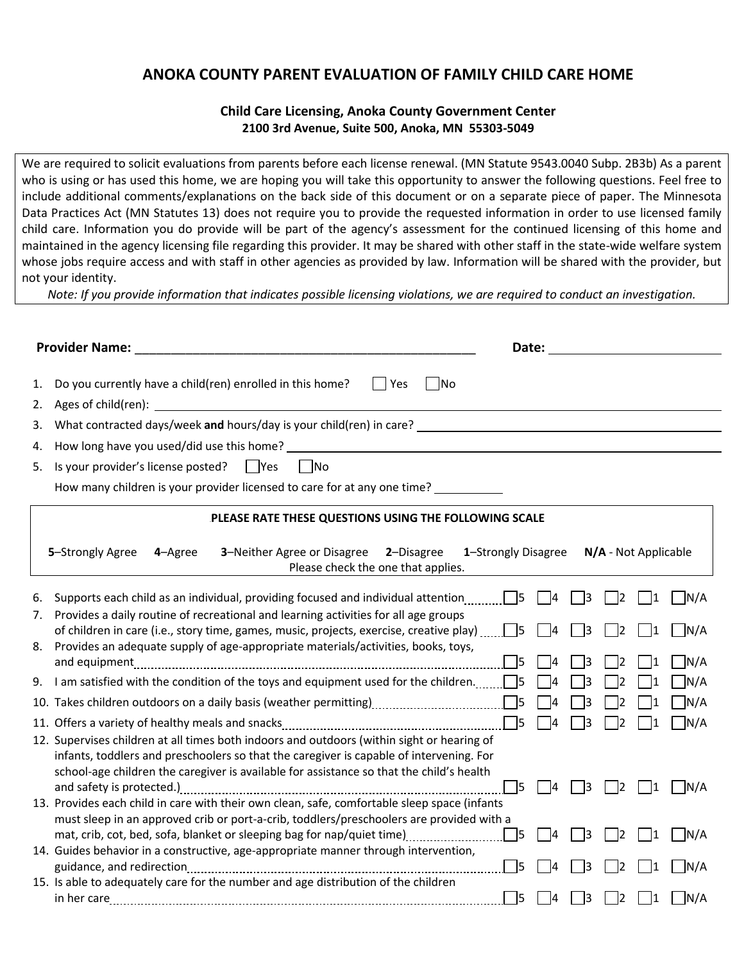## **ANOKA COUNTY PARENT EVALUATION OF FAMILY CHILD CARE HOME**

## **Child Care Licensing, Anoka County Government Center 2100 3rd Avenue, Suite 500, Anoka, MN 55303-5049**

We are required to solicit evaluations from parents before each license renewal. (MN Statute 9543.0040 Subp. 2B3b) As a parent who is using or has used this home, we are hoping you will take this opportunity to answer the following questions. Feel free to include additional comments/explanations on the back side of this document or on a separate piece of paper. The Minnesota Data Practices Act (MN Statutes 13) does not require you to provide the requested information in order to use licensed family child care. Information you do provide will be part of the agency's assessment for the continued licensing of this home and maintained in the agency licensing file regarding this provider. It may be shared with other staff in the state-wide welfare system whose jobs require access and with staff in other agencies as provided by law. Information will be shared with the provider, but not your identity.

*Note: If you provide information that indicates possible licensing violations, we are required to conduct an investigation.*

|                                                                                                                                                               | <b>Provider Name:</b><br>Date: the contract of the contract of the contract of the contract of the contract of the contract of the contract of the contract of the contract of the contract of the contract of the contract of the contract of the cont                           |  |  |  |  |  |  |  |  |
|---------------------------------------------------------------------------------------------------------------------------------------------------------------|-----------------------------------------------------------------------------------------------------------------------------------------------------------------------------------------------------------------------------------------------------------------------------------|--|--|--|--|--|--|--|--|
| 1.<br>2.                                                                                                                                                      | Do you currently have a child(ren) enrolled in this home?<br><b>Paragona</b><br>$\square$ No<br>Ages of child(ren):                                                                                                                                                               |  |  |  |  |  |  |  |  |
| 3.                                                                                                                                                            | What contracted days/week and hours/day is your child(ren) in care? ___                                                                                                                                                                                                           |  |  |  |  |  |  |  |  |
| 4.                                                                                                                                                            | How long have you used/did use this home? Letter that the state of the state of the state of the state of the state of the state of the state of the state of the state of the state of the state of the state of the state of                                                    |  |  |  |  |  |  |  |  |
|                                                                                                                                                               |                                                                                                                                                                                                                                                                                   |  |  |  |  |  |  |  |  |
| 5.                                                                                                                                                            | Is your provider's license posted?<br>  Yes<br>l INo                                                                                                                                                                                                                              |  |  |  |  |  |  |  |  |
|                                                                                                                                                               | How many children is your provider licensed to care for at any one time?                                                                                                                                                                                                          |  |  |  |  |  |  |  |  |
| PLEASE RATE THESE QUESTIONS USING THE FOLLOWING SCALE                                                                                                         |                                                                                                                                                                                                                                                                                   |  |  |  |  |  |  |  |  |
| 3-Neither Agree or Disagree<br>N/A - Not Applicable<br>5-Strongly Agree<br>2-Disagree<br>1-Strongly Disagree<br>4-Agree<br>Please check the one that applies. |                                                                                                                                                                                                                                                                                   |  |  |  |  |  |  |  |  |
| 6.<br>7.                                                                                                                                                      | 14<br> 3<br>$\overline{2}$<br>N/A<br>1<br>Provides a daily routine of recreational and learning activities for all age groups                                                                                                                                                     |  |  |  |  |  |  |  |  |
|                                                                                                                                                               | $\neg$ N/A<br>of children in care (i.e., story time, games, music, projects, exercise, creative play) $\Box$<br>3<br>2<br>1                                                                                                                                                       |  |  |  |  |  |  |  |  |
| 8.                                                                                                                                                            | Provides an adequate supply of age-appropriate materials/activities, books, toys,<br>$\n  7N/A$<br>- 15<br>2                                                                                                                                                                      |  |  |  |  |  |  |  |  |
| 9.                                                                                                                                                            | I am satisfied with the condition of the toys and equipment used for the children. $\Box$<br>$\neg$ N/A<br>2                                                                                                                                                                      |  |  |  |  |  |  |  |  |
|                                                                                                                                                               |                                                                                                                                                                                                                                                                                   |  |  |  |  |  |  |  |  |
|                                                                                                                                                               | $\neg$ N/A<br> 4<br>2<br>1                                                                                                                                                                                                                                                        |  |  |  |  |  |  |  |  |
|                                                                                                                                                               | $\neg$ N/A<br>$\Box$<br>14<br>3<br>12<br>1                                                                                                                                                                                                                                        |  |  |  |  |  |  |  |  |
|                                                                                                                                                               | 12. Supervises children at all times both indoors and outdoors (within sight or hearing of<br>infants, toddlers and preschoolers so that the caregiver is capable of intervening. For<br>school-age children the caregiver is available for assistance so that the child's health |  |  |  |  |  |  |  |  |
|                                                                                                                                                               | $\overline{\phantom{0}}$ 5<br>$\bigcap N/A$<br>$ 4\rangle$<br>$\vert$ 3<br>$\vert$ 2<br>$\vert$ 1<br>13. Provides each child in care with their own clean, safe, comfortable sleep space (infants                                                                                 |  |  |  |  |  |  |  |  |
|                                                                                                                                                               | must sleep in an approved crib or port-a-crib, toddlers/preschoolers are provided with a                                                                                                                                                                                          |  |  |  |  |  |  |  |  |
|                                                                                                                                                               | $\neg$ N/A<br>$\begin{array}{ c c } \hline \end{array}$<br>73<br>2<br>11                                                                                                                                                                                                          |  |  |  |  |  |  |  |  |
|                                                                                                                                                               | 14. Guides behavior in a constructive, age-appropriate manner through intervention,                                                                                                                                                                                               |  |  |  |  |  |  |  |  |
|                                                                                                                                                               | ר/A                                                                                                                                                                                                                                                                               |  |  |  |  |  |  |  |  |
|                                                                                                                                                               | 15. Is able to adequately care for the number and age distribution of the children                                                                                                                                                                                                |  |  |  |  |  |  |  |  |
|                                                                                                                                                               | $\n  1N/A$<br>- 15<br>14<br>l3<br>$\overline{2}$<br>1                                                                                                                                                                                                                             |  |  |  |  |  |  |  |  |